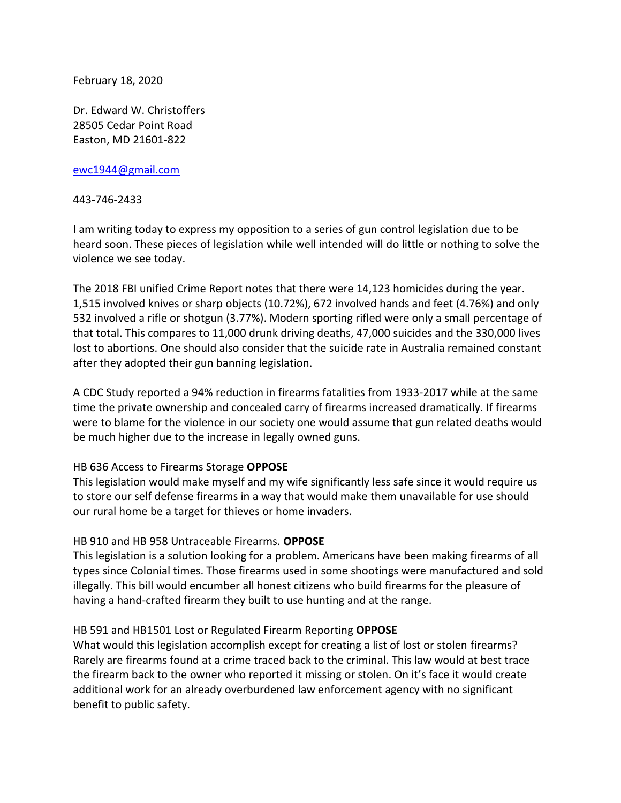February 18, 2020

Dr. Edward W. Christoffers 28505 Cedar Point Road Easton, MD 21601-822

[ewc1944@gmail.com](mailto:ewc1944@gmail.com)

443-746-2433

I am writing today to express my opposition to a series of gun control legislation due to be heard soon. These pieces of legislation while well intended will do little or nothing to solve the violence we see today.

The 2018 FBI unified Crime Report notes that there were 14,123 homicides during the year. 1,515 involved knives or sharp objects (10.72%), 672 involved hands and feet (4.76%) and only 532 involved a rifle or shotgun (3.77%). Modern sporting rifled were only a small percentage of that total. This compares to 11,000 drunk driving deaths, 47,000 suicides and the 330,000 lives lost to abortions. One should also consider that the suicide rate in Australia remained constant after they adopted their gun banning legislation.

A CDC Study reported a 94% reduction in firearms fatalities from 1933-2017 while at the same time the private ownership and concealed carry of firearms increased dramatically. If firearms were to blame for the violence in our society one would assume that gun related deaths would be much higher due to the increase in legally owned guns.

## HB 636 Access to Firearms Storage **OPPOSE**

This legislation would make myself and my wife significantly less safe since it would require us to store our self defense firearms in a way that would make them unavailable for use should our rural home be a target for thieves or home invaders.

## HB 910 and HB 958 Untraceable Firearms. **OPPOSE**

This legislation is a solution looking for a problem. Americans have been making firearms of all types since Colonial times. Those firearms used in some shootings were manufactured and sold illegally. This bill would encumber all honest citizens who build firearms for the pleasure of having a hand-crafted firearm they built to use hunting and at the range.

## HB 591 and HB1501 Lost or Regulated Firearm Reporting **OPPOSE**

What would this legislation accomplish except for creating a list of lost or stolen firearms? Rarely are firearms found at a crime traced back to the criminal. This law would at best trace the firearm back to the owner who reported it missing or stolen. On it's face it would create additional work for an already overburdened law enforcement agency with no significant benefit to public safety.